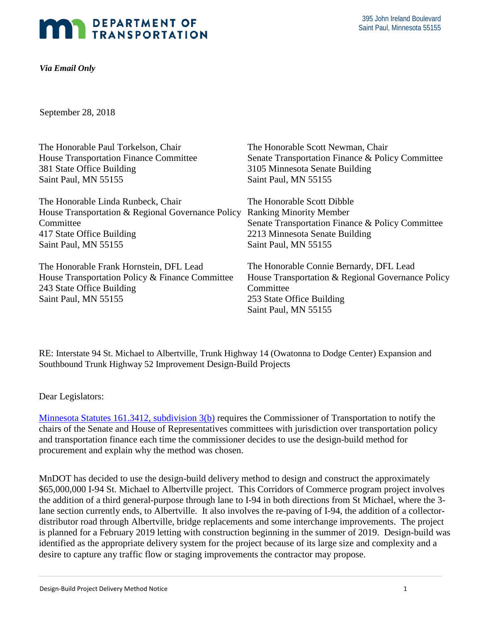## **MAN DEPARTMENT OF TRANSPORTATION**

*Via Email Only* 

September 28, 2018

| The Honorable Paul Torkelson, Chair               | The Honorable Scott Newman, Chair                 |
|---------------------------------------------------|---------------------------------------------------|
| <b>House Transportation Finance Committee</b>     | Senate Transportation Finance & Policy Committee  |
| 381 State Office Building                         | 3105 Minnesota Senate Building                    |
| Saint Paul, MN 55155                              | Saint Paul, MN 55155                              |
| The Honorable Linda Runbeck, Chair                | The Honorable Scott Dibble                        |
| House Transportation & Regional Governance Policy | <b>Ranking Minority Member</b>                    |
| Committee                                         | Senate Transportation Finance & Policy Committee  |
| 417 State Office Building                         | 2213 Minnesota Senate Building                    |
| Saint Paul, MN 55155                              | Saint Paul, MN 55155                              |
| The Honorable Frank Hornstein, DFL Lead           | The Honorable Connie Bernardy, DFL Lead           |
| House Transportation Policy & Finance Committee   | House Transportation & Regional Governance Policy |
| 243 State Office Building                         | Committee                                         |
| Saint Paul, MN 55155                              | 253 State Office Building                         |
|                                                   | Saint Paul, MN 55155                              |

 RE: Interstate 94 St. Michael to Albertville, Trunk Highway 14 (Owatonna to Dodge Center) Expansion and Southbound Trunk Highway 52 Improvement Design-Build Projects

Dear Legislators:

Minnesota Statutes 161.3412, subdivision 3(b) requires the Commissioner of Transportation to notify the chairs of the Senate and House of Representatives committees with jurisdiction over transportation policy and transportation finance each time the commissioner decides to use the design-build method for procurement and explain why the method was chosen.

 \$65,000,000 I-94 St. Michael to Albertville project. This Corridors of Commerce program project involves is planned for a February 2019 letting with construction beginning in the summer of 2019. Design-build was MnDOT has decided to use the design-build delivery method to design and construct the approximately the addition of a third general-purpose through lane to I-94 in both directions from St Michael, where the 3 lane section currently ends, to Albertville. It also involves the re-paving of I-94, the addition of a collectordistributor road through Albertville, bridge replacements and some interchange improvements. The project identified as the appropriate delivery system for the project because of its large size and complexity and a desire to capture any traffic flow or staging improvements the contractor may propose.

Design-Build Project Delivery Method Notice 1